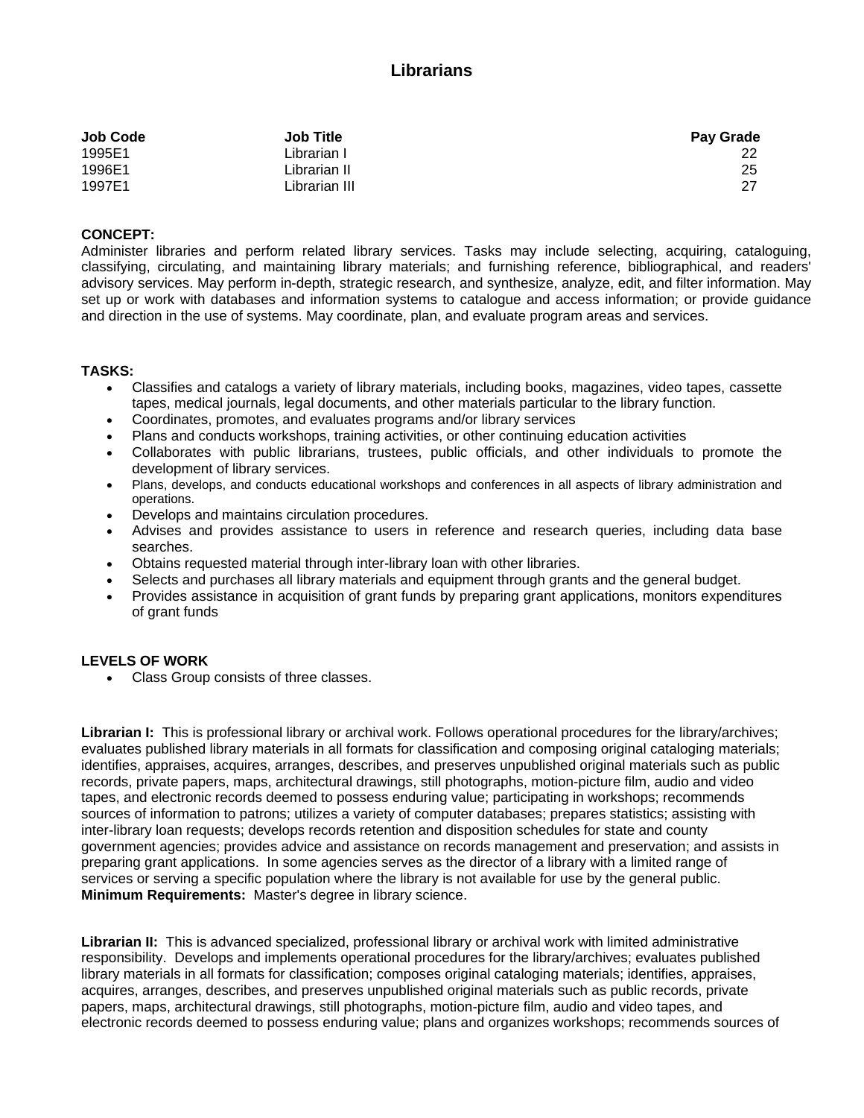## **Librarians**

| <b>Job Code</b> | <b>Job Title</b> | <b>Pay Grade</b> |
|-----------------|------------------|------------------|
| 1995E1          | Librarian I      |                  |
| 1996E1          | Librarian II     | 25               |
| 1997E1          | Librarian III    | -27              |

## **CONCEPT:**

Administer libraries and perform related library services. Tasks may include selecting, acquiring, cataloguing, classifying, circulating, and maintaining library materials; and furnishing reference, bibliographical, and readers' advisory services. May perform in-depth, strategic research, and synthesize, analyze, edit, and filter information. May set up or work with databases and information systems to catalogue and access information; or provide guidance and direction in the use of systems. May coordinate, plan, and evaluate program areas and services.

## **TASKS:**

- Classifies and catalogs a variety of library materials, including books, magazines, video tapes, cassette tapes, medical journals, legal documents, and other materials particular to the library function.
- Coordinates, promotes, and evaluates programs and/or library services
- Plans and conducts workshops, training activities, or other continuing education activities
- Collaborates with public librarians, trustees, public officials, and other individuals to promote the development of library services.
- Plans, develops, and conducts educational workshops and conferences in all aspects of library administration and operations.
- Develops and maintains circulation procedures.
- Advises and provides assistance to users in reference and research queries, including data base searches.
- Obtains requested material through inter-library loan with other libraries.
- Selects and purchases all library materials and equipment through grants and the general budget.
- Provides assistance in acquisition of grant funds by preparing grant applications, monitors expenditures of grant funds

## **LEVELS OF WORK**

Class Group consists of three classes.

**Librarian I:** This is professional library or archival work. Follows operational procedures for the library/archives; evaluates published library materials in all formats for classification and composing original cataloging materials; identifies, appraises, acquires, arranges, describes, and preserves unpublished original materials such as public records, private papers, maps, architectural drawings, still photographs, motion-picture film, audio and video tapes, and electronic records deemed to possess enduring value; participating in workshops; recommends sources of information to patrons; utilizes a variety of computer databases; prepares statistics; assisting with inter-library loan requests; develops records retention and disposition schedules for state and county government agencies; provides advice and assistance on records management and preservation; and assists in preparing grant applications. In some agencies serves as the director of a library with a limited range of services or serving a specific population where the library is not available for use by the general public. **Minimum Requirements:** Master's degree in library science.

**Librarian II:** This is advanced specialized, professional library or archival work with limited administrative responsibility. Develops and implements operational procedures for the library/archives; evaluates published library materials in all formats for classification; composes original cataloging materials; identifies, appraises, acquires, arranges, describes, and preserves unpublished original materials such as public records, private papers, maps, architectural drawings, still photographs, motion-picture film, audio and video tapes, and electronic records deemed to possess enduring value; plans and organizes workshops; recommends sources of